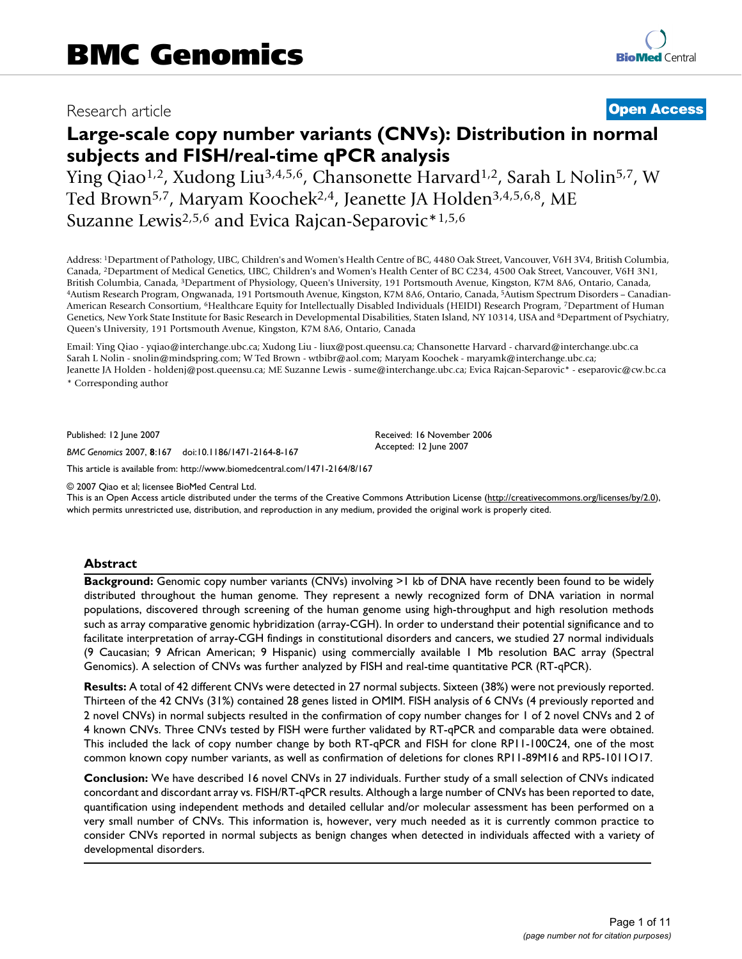## Research article **[Open Access](http://www.biomedcentral.com/info/about/charter/)**

# **Large-scale copy number variants (CNVs): Distribution in normal subjects and FISH/real-time qPCR analysis**

Ying Qiao1,2, Xudong Liu3,4,5,6, Chansonette Harvard1,2, Sarah L Nolin5,7, W Ted Brown5,7, Maryam Koochek2,4, Jeanette JA Holden3,4,5,6,8, ME Suzanne Lewis<sup>2,5,6</sup> and Evica Rajcan-Separovic<sup>\*1,5,6</sup>

Address: 1Department of Pathology, UBC, Children's and Women's Health Centre of BC, 4480 Oak Street, Vancouver, V6H 3V4, British Columbia, Canada, 2Department of Medical Genetics, UBC, Children's and Women's Health Center of BC C234, 4500 Oak Street, Vancouver, V6H 3N1, British Columbia, Canada, <sup>3</sup>Department of Physiology, Queen's University, 191 Portsmouth Avenue, Kingston, K7M 8A6, Ontario, Canada, 4Autism Research Program, Ongwanada, 191 Portsmouth Avenue, Kingston, K7M 8A6, Ontario, American Research Consortium, 6Healthcare Equity for Intellectually Disabled Individuals (HEIDI) Research Program, 7Department of Human Genetics, New York State Institute for Basic Research in Developmental Disabilities, Staten Island, NY 10314, USA and 8Department of Psychiatry, Queen's University, 191 Portsmouth Avenue, Kingston, K7M 8A6, Ontario, Canada

Email: Ying Qiao - yqiao@interchange.ubc.ca; Xudong Liu - liux@post.queensu.ca; Chansonette Harvard - charvard@interchange.ubc.ca Sarah L Nolin - snolin@mindspring.com; W Ted Brown - wtbibr@aol.com; Maryam Koochek - maryamk@interchange.ubc.ca; Jeanette JA Holden - holdenj@post.queensu.ca; ME Suzanne Lewis - sume@interchange.ubc.ca; Evica Rajcan-Separovic\* - eseparovic@cw.bc.ca \* Corresponding author

> Received: 16 November 2006 Accepted: 12 June 2007

Published: 12 June 2007

*BMC Genomics* 2007, **8**:167 doi:10.1186/1471-2164-8-167

[This article is available from: http://www.biomedcentral.com/1471-2164/8/167](http://www.biomedcentral.com/1471-2164/8/167)

© 2007 Qiao et al; licensee BioMed Central Ltd.

This is an Open Access article distributed under the terms of the Creative Commons Attribution License [\(http://creativecommons.org/licenses/by/2.0\)](http://creativecommons.org/licenses/by/2.0), which permits unrestricted use, distribution, and reproduction in any medium, provided the original work is properly cited.

#### **Abstract**

**Background:** Genomic copy number variants (CNVs) involving >1 kb of DNA have recently been found to be widely distributed throughout the human genome. They represent a newly recognized form of DNA variation in normal populations, discovered through screening of the human genome using high-throughput and high resolution methods such as array comparative genomic hybridization (array-CGH). In order to understand their potential significance and to facilitate interpretation of array-CGH findings in constitutional disorders and cancers, we studied 27 normal individuals (9 Caucasian; 9 African American; 9 Hispanic) using commercially available 1 Mb resolution BAC array (Spectral Genomics). A selection of CNVs was further analyzed by FISH and real-time quantitative PCR (RT-qPCR).

**Results:** A total of 42 different CNVs were detected in 27 normal subjects. Sixteen (38%) were not previously reported. Thirteen of the 42 CNVs (31%) contained 28 genes listed in OMIM. FISH analysis of 6 CNVs (4 previously reported and 2 novel CNVs) in normal subjects resulted in the confirmation of copy number changes for 1 of 2 novel CNVs and 2 of 4 known CNVs. Three CNVs tested by FISH were further validated by RT-qPCR and comparable data were obtained. This included the lack of copy number change by both RT-qPCR and FISH for clone RP11-100C24, one of the most common known copy number variants, as well as confirmation of deletions for clones RP11-89M16 and RP5-1011O17.

**Conclusion:** We have described 16 novel CNVs in 27 individuals. Further study of a small selection of CNVs indicated concordant and discordant array vs. FISH/RT-qPCR results. Although a large number of CNVs has been reported to date, quantification using independent methods and detailed cellular and/or molecular assessment has been performed on a very small number of CNVs. This information is, however, very much needed as it is currently common practice to consider CNVs reported in normal subjects as benign changes when detected in individuals affected with a variety of developmental disorders.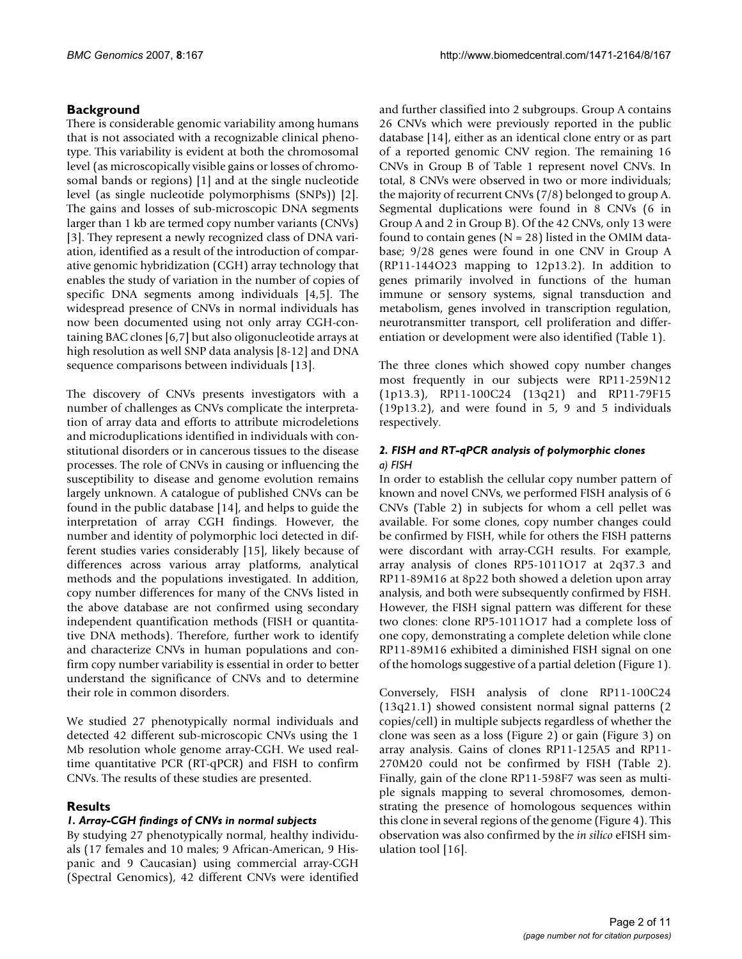## **Background**

There is considerable genomic variability among humans that is not associated with a recognizable clinical phenotype. This variability is evident at both the chromosomal level (as microscopically visible gains or losses of chromosomal bands or regions) [1] and at the single nucleotide level (as single nucleotide polymorphisms (SNPs)) [2]. The gains and losses of sub-microscopic DNA segments larger than 1 kb are termed copy number variants (CNVs) [3]. They represent a newly recognized class of DNA variation, identified as a result of the introduction of comparative genomic hybridization (CGH) array technology that enables the study of variation in the number of copies of specific DNA segments among individuals [4,5]. The widespread presence of CNVs in normal individuals has now been documented using not only array CGH-containing BAC clones [6,7] but also oligonucleotide arrays at high resolution as well SNP data analysis [8-12] and DNA sequence comparisons between individuals [13].

The discovery of CNVs presents investigators with a number of challenges as CNVs complicate the interpretation of array data and efforts to attribute microdeletions and microduplications identified in individuals with constitutional disorders or in cancerous tissues to the disease processes. The role of CNVs in causing or influencing the susceptibility to disease and genome evolution remains largely unknown. A catalogue of published CNVs can be found in the public database [14], and helps to guide the interpretation of array CGH findings. However, the number and identity of polymorphic loci detected in different studies varies considerably [15], likely because of differences across various array platforms, analytical methods and the populations investigated. In addition, copy number differences for many of the CNVs listed in the above database are not confirmed using secondary independent quantification methods (FISH or quantitative DNA methods). Therefore, further work to identify and characterize CNVs in human populations and confirm copy number variability is essential in order to better understand the significance of CNVs and to determine their role in common disorders.

We studied 27 phenotypically normal individuals and detected 42 different sub-microscopic CNVs using the 1 Mb resolution whole genome array-CGH. We used realtime quantitative PCR (RT-qPCR) and FISH to confirm CNVs. The results of these studies are presented.

## **Results**

## *1. Array-CGH findings of CNVs in normal subjects*

By studying 27 phenotypically normal, healthy individuals (17 females and 10 males; 9 African-American, 9 Hispanic and 9 Caucasian) using commercial array-CGH (Spectral Genomics), 42 different CNVs were identified and further classified into 2 subgroups. Group A contains 26 CNVs which were previously reported in the public database [14], either as an identical clone entry or as part of a reported genomic CNV region. The remaining 16 CNVs in Group B of Table 1 represent novel CNVs. In total, 8 CNVs were observed in two or more individuals; the majority of recurrent CNVs (7/8) belonged to group A. Segmental duplications were found in 8 CNVs (6 in Group A and 2 in Group B). Of the 42 CNVs, only 13 were found to contain genes ( $N = 28$ ) listed in the OMIM database; 9/28 genes were found in one CNV in Group A (RP11-144O23 mapping to 12p13.2). In addition to genes primarily involved in functions of the human immune or sensory systems, signal transduction and metabolism, genes involved in transcription regulation, neurotransmitter transport, cell proliferation and differentiation or development were also identified (Table 1).

The three clones which showed copy number changes most frequently in our subjects were RP11-259N12 (1p13.3), RP11-100C24 (13q21) and RP11-79F15 (19p13.2), and were found in 5, 9 and 5 individuals respectively.

## *2. FISH and RT-qPCR analysis of polymorphic clones a) FISH*

In order to establish the cellular copy number pattern of known and novel CNVs, we performed FISH analysis of 6 CNVs (Table 2) in subjects for whom a cell pellet was available. For some clones, copy number changes could be confirmed by FISH, while for others the FISH patterns were discordant with array-CGH results. For example, array analysis of clones RP5-1011O17 at 2q37.3 and RP11-89M16 at 8p22 both showed a deletion upon array analysis, and both were subsequently confirmed by FISH. However, the FISH signal pattern was different for these two clones: clone RP5-1011O17 had a complete loss of one copy, demonstrating a complete deletion while clone RP11-89M16 exhibited a diminished FISH signal on one of the homologs suggestive of a partial deletion (Figure 1).

Conversely, FISH analysis of clone RP11-100C24 (13q21.1) showed consistent normal signal patterns (2 copies/cell) in multiple subjects regardless of whether the clone was seen as a loss (Figure 2) or gain (Figure 3) on array analysis. Gains of clones RP11-125A5 and RP11- 270M20 could not be confirmed by FISH (Table 2). Finally, gain of the clone RP11-598F7 was seen as multiple signals mapping to several chromosomes, demonstrating the presence of homologous sequences within this clone in several regions of the genome (Figure 4). This observation was also confirmed by the *in silico* eFISH simulation tool [16].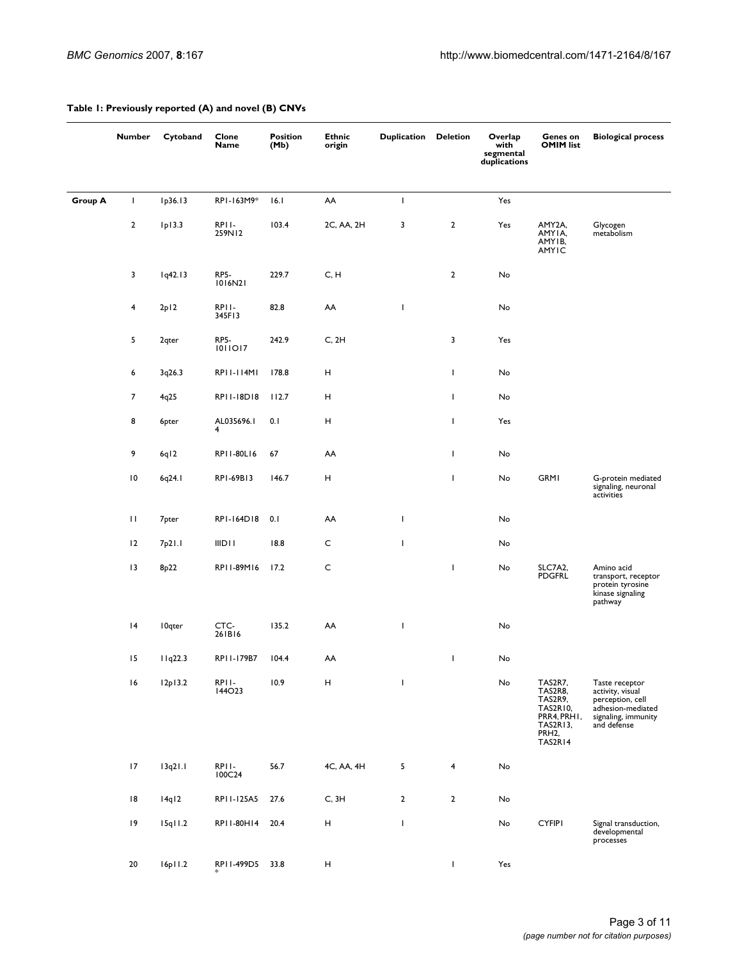|                | <b>Number</b>           | Cytoband          | Clone<br>Name          | <b>Position</b><br>(Mb) | <b>Ethnic</b><br>origin   | <b>Duplication Deletion</b> |                | Overlap<br>with<br>segmental<br>duplications | Genes on<br><b>OMIM list</b>                                                                    | <b>Biological process</b>                                                                                         |
|----------------|-------------------------|-------------------|------------------------|-------------------------|---------------------------|-----------------------------|----------------|----------------------------------------------|-------------------------------------------------------------------------------------------------|-------------------------------------------------------------------------------------------------------------------|
| <b>Group A</b> | T                       | Ip36.13           | RPI-163M9*             | 16.1                    | AA                        | T                           |                | Yes                                          |                                                                                                 |                                                                                                                   |
|                | $\overline{2}$          | lp13.3            | RPII-<br>259N12        | 103.4                   | 2C, AA, 2H                | 3                           | $\overline{2}$ | Yes                                          | AMY2A,<br>AMYIA,<br>AMYIB,<br><b>AMYIC</b>                                                      | Glycogen<br>metabolism                                                                                            |
|                | 3                       | lq42.13           | RP5-<br>1016N21        | 229.7                   | C, H                      |                             | $\overline{2}$ | No                                           |                                                                                                 |                                                                                                                   |
|                | $\overline{\mathbf{4}}$ | 2p12              | RPII-<br>345F13        | 82.8                    | AA                        | $\mathbf{I}$                |                | No                                           |                                                                                                 |                                                                                                                   |
|                | 5                       | 2 <sub>qter</sub> | <b>RP5-</b><br>1011017 | 242.9                   | C, 2H                     |                             | 3              | Yes                                          |                                                                                                 |                                                                                                                   |
|                | 6                       | 3q26.3            | RP11-114M1             | 178.8                   | Н                         |                             | T              | No                                           |                                                                                                 |                                                                                                                   |
|                | $\overline{7}$          | 4q25              | RPII-18D18             | 112.7                   | H                         |                             | T              | No                                           |                                                                                                 |                                                                                                                   |
|                | 8                       | 6pter             | AL035696.1<br>4        | 0.1                     | н                         |                             | J.             | Yes                                          |                                                                                                 |                                                                                                                   |
|                | 9                       | 6q12              | RP11-80L16             | 67                      | AA                        |                             | T              | No                                           |                                                                                                 |                                                                                                                   |
|                | $\overline{10}$         | 6q24.1            | RP1-69B13              | 146.7                   | Н                         |                             | J.             | No                                           | <b>GRMI</b>                                                                                     | G-protein mediated<br>signaling, neuronal<br>activities                                                           |
|                | $\mathbf{H}$            | 7 <sub>pter</sub> | RPI-164D18             | 0.1                     | AA                        | T                           |                | No                                           |                                                                                                 |                                                                                                                   |
|                | 12                      | 7p21.1            | <b>IIDII</b>           | 18.8                    | C                         | $\overline{\phantom{a}}$    |                | No                                           |                                                                                                 |                                                                                                                   |
|                | 13                      | 8 <sub>p</sub> 22 | RP11-89M16             | 17.2                    | $\mathsf{C}$              |                             | T              | No                                           | SLC7A2,<br><b>PDGFRL</b>                                                                        | Amino acid<br>transport, receptor<br>protein tyrosine<br>kinase signaling<br>pathway                              |
|                | 4                       | <b>I</b> Oqter    | CTC-<br>261B16         | 135.2                   | AA                        | J.                          |                | No                                           |                                                                                                 |                                                                                                                   |
|                | 15                      | 11q22.3           | RP11-179B7             | 104.4                   | AA                        |                             | T              | No                                           |                                                                                                 |                                                                                                                   |
|                | 16                      | 12p13.2           | RPI I -<br>144023      | 10.9                    | Н                         | T                           |                | No                                           | TAS2R7,<br>TAS2R8,<br>TAS2R9,<br><b>TAS2R10,</b><br>PRR4, PRHI,<br>TAS2R13,<br>PRH2,<br>TAS2R14 | Taste receptor<br>activity, visual<br>perception, cell<br>adhesion-mediated<br>signaling, immunity<br>and defense |
|                | 17                      | 13q21.1           | RPII-<br>100C24        | 56.7                    | 4C, AA, 4H                | 5                           | $\overline{4}$ | No                                           |                                                                                                 |                                                                                                                   |
|                | 18                      | 14q12             | RP11-125A5             | 27.6                    | C, 3H                     | $\overline{2}$              | $\mathbf{2}$   | No                                           |                                                                                                 |                                                                                                                   |
|                | 9                       | 15q11.2           | RP11-80H14             | 20.4                    | $\boldsymbol{\mathsf{H}}$ | $\overline{\phantom{a}}$    |                | No                                           | <b>CYFIPI</b>                                                                                   | Signal transduction,<br>developmental<br>processes                                                                |
|                | 20                      | 16p11.2           | RP11-499D5             | 33.8                    | Н                         |                             | T.             | Yes                                          |                                                                                                 |                                                                                                                   |

## **Table 1: Previously reported (A) and novel (B) CNVs**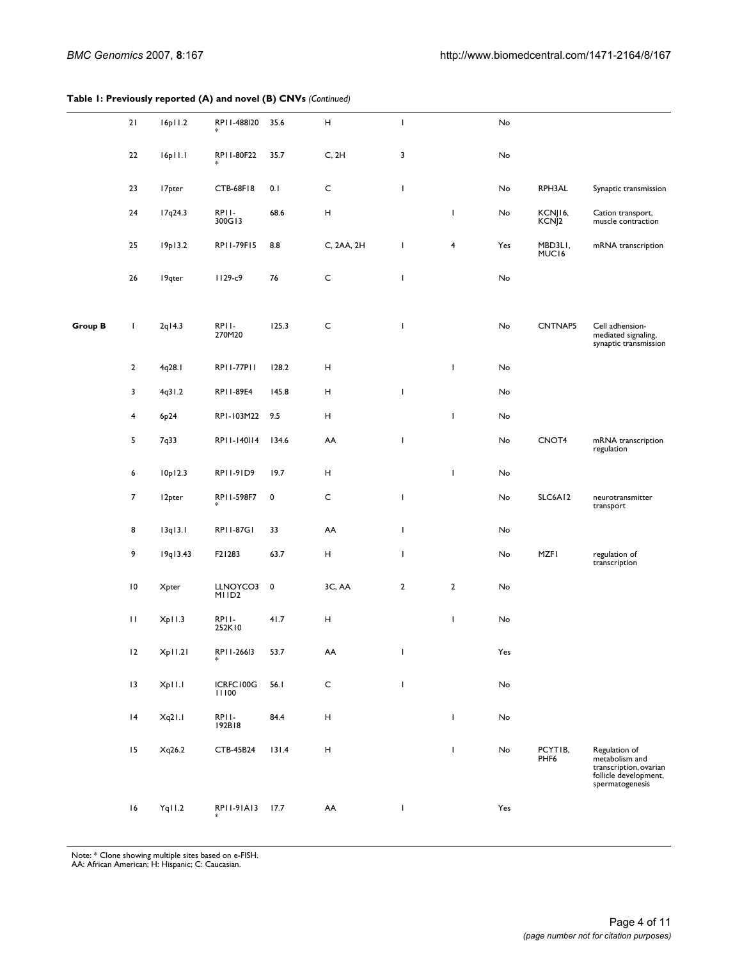#### **Table 1: Previously reported (A) and novel (B) CNVs** *(Continued)*

|                | 21              | 16p11.2            | RP11-488I20                   | 35.6      | $\mathsf{H}$              | $\mathsf I$  |                         | No  |                              |                                                                                                       |
|----------------|-----------------|--------------------|-------------------------------|-----------|---------------------------|--------------|-------------------------|-----|------------------------------|-------------------------------------------------------------------------------------------------------|
|                | 22              | 16p11.1            | RP11-80F22                    | 35.7      | C, 2H                     | 3            |                         | No  |                              |                                                                                                       |
|                | 23              | 17 <sub>pter</sub> | <b>CTB-68F18</b>              | 0.1       | $\mathsf{C}$              | $\mathbf{I}$ |                         | No  | RPH3AL                       | Synaptic transmission                                                                                 |
|                | 24              | 17q24.3            | RPII-<br>300G13               | 68.6      | $\boldsymbol{\mathsf{H}}$ |              | T                       | No  | KCNJI6,<br>KCNJ <sub>2</sub> | Cation transport,<br>muscle contraction                                                               |
|                | 25              | 19p13.2            | RP11-79F15                    | 8.8       | C, 2AA, 2H                | T            | $\overline{\mathbf{4}}$ | Yes | MBD3LI,<br>MUC16             | mRNA transcription                                                                                    |
|                | 26              | 19qter             | II29-c9                       | 76        | $\mathsf{C}$              | L            |                         | No  |                              |                                                                                                       |
| <b>Group B</b> | L               | $2q$   4.3         | RPII-<br>270M20               | 125.3     | $\mathsf{C}$              | $\mathsf I$  |                         | No  | <b>CNTNAP5</b>               | Cell adhension-<br>mediated signaling,<br>synaptic transmission                                       |
|                | $\overline{2}$  | 4q28.1             | RP11-77P11                    | 128.2     | H                         |              | T                       | No  |                              |                                                                                                       |
|                | 3               | 4q31.2             | RP11-89E4                     | 145.8     | H                         | T            |                         | No  |                              |                                                                                                       |
|                | 4               | 6p24               | RPI-103M22                    | 9.5       | н                         |              | J.                      | No  |                              |                                                                                                       |
|                | 5               | 7q33               | RP11-140114                   | 134.6     | AA                        | L            |                         | No  | CNOT <sub>4</sub>            | mRNA transcription<br>regulation                                                                      |
|                | 6               | 10p12.3            | RP11-91D9                     | 19.7      | Н                         |              | $\overline{1}$          | No  |                              |                                                                                                       |
|                | $\overline{7}$  | 12 <sub>pter</sub> | RP11-598F7                    | 0         | $\mathsf{C}$              | L            |                         | No  | SLC6A12                      | neurotransmitter<br>transport                                                                         |
|                | 8               | 13q13.1            | RP11-87G1                     | 33        | AA                        | $\mathbf{I}$ |                         | No  |                              |                                                                                                       |
|                | 9               | 19q13.43           | F21283                        | 63.7      | $\boldsymbol{\mathsf{H}}$ | L            |                         | No  | <b>MZFI</b>                  | regulation of<br>transcription                                                                        |
|                | $\overline{10}$ | Xpter              | LLNOYCO3<br>MIID <sub>2</sub> | $\pmb{0}$ | 3C, AA                    | $\mathbf 2$  | $\overline{2}$          | No  |                              |                                                                                                       |
|                | $\mathbf{H}$    | Xp11.3             | RPII-<br>252K10               | 41.7      | н                         |              | T                       | No  |                              |                                                                                                       |
|                | 2               | Xp11.21            | RPI I-26613                   | 53.7      | AA                        | T.           |                         | Yes |                              |                                                                                                       |
|                | 13              | Xp11.1             | ICRFC100G<br>11100            | 56.1      | $\mathsf{C}$              | $\mathbf{I}$ |                         | No  |                              |                                                                                                       |
|                | 4               | Xq21.1             | RPII-<br>192B18               | 84.4      | Н                         |              | T                       | No  |                              |                                                                                                       |
|                | 15              | Xq26.2             | CTB-45B24                     | 131.4     | Н                         |              | T                       | No  | PCYTIB,<br>PHF6              | Regulation of<br>metabolism and<br>transcription, ovarian<br>follicle development,<br>spermatogenesis |
|                | 16              | Yq11.2             | RP11-91A13                    | 17.7      | AA                        | T            |                         | Yes |                              |                                                                                                       |

Note: \* Clone showing multiple sites based on e-FISH. AA: African American; H: Hispanic; C: Caucasian.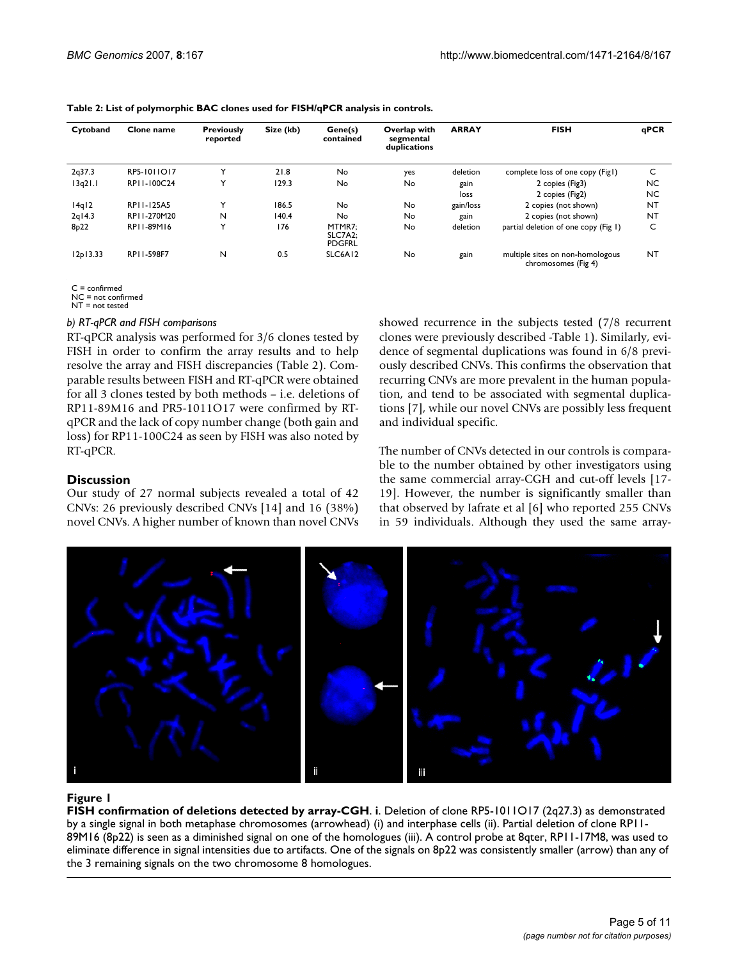| Cytoband          | Clone name  | <b>Previously</b><br>reported | Size (kb) | Gene(s)<br>contained               | Overlap with<br>segmental<br>duplications | <b>ARRAY</b> | <b>FISH</b>                                             | qPCR      |
|-------------------|-------------|-------------------------------|-----------|------------------------------------|-------------------------------------------|--------------|---------------------------------------------------------|-----------|
| 2q37.3            | RP5-1011017 | Y                             | 21.8      | No                                 | yes                                       | deletion     | complete loss of one copy (Fig1)                        | C         |
| 13q21.1           | RP11-100C24 | Y                             | 129.3     | No                                 | No                                        | gain         | 2 copies (Fig3)                                         | <b>NC</b> |
|                   |             |                               |           |                                    |                                           | loss         | 2 copies (Fig2)                                         | <b>NC</b> |
| 14q12             | RP11-125A5  | Y                             | 186.5     | No                                 | No                                        | gain/loss    | 2 copies (not shown)                                    | <b>NT</b> |
| $2q$   4.3        | RP11-270M20 | N                             | 140.4     | No                                 | No                                        | gain         | 2 copies (not shown)                                    | <b>NT</b> |
| 8 <sub>p</sub> 22 | RP11-89M16  | Y                             | 176       | MTMR7:<br>SLC7A2:<br><b>PDGFRL</b> | No                                        | deletion     | partial deletion of one copy (Fig 1)                    | C         |
| 12p13.33          | RP11-598F7  | N                             | 0.5       | SLC6A12                            | No                                        | gain         | multiple sites on non-homologous<br>chromosomes (Fig 4) | <b>NT</b> |

#### **Table 2: List of polymorphic BAC clones used for FISH/qPCR analysis in controls.**

 $C = \text{confirmad}$ 

NC = not confirmed

 $NT = not tested$ 

#### *b) RT-qPCR and FISH comparisons*

RT-qPCR analysis was performed for 3/6 clones tested by FISH in order to confirm the array results and to help resolve the array and FISH discrepancies (Table 2). Comparable results between FISH and RT-qPCR were obtained for all 3 clones tested by both methods – i.e. deletions of RP11-89M16 and PR5-1011O17 were confirmed by RTqPCR and the lack of copy number change (both gain and loss) for RP11-100C24 as seen by FISH was also noted by RT-qPCR.

### **Discussion**

Our study of 27 normal subjects revealed a total of 42 CNVs: 26 previously described CNVs [14] and 16 (38%) novel CNVs. A higher number of known than novel CNVs showed recurrence in the subjects tested (7/8 recurrent clones were previously described -Table 1). Similarly, evidence of segmental duplications was found in 6/8 previously described CNVs. This confirms the observation that recurring CNVs are more prevalent in the human population, and tend to be associated with segmental duplications [7], while our novel CNVs are possibly less frequent and individual specific.

The number of CNVs detected in our controls is comparable to the number obtained by other investigators using the same commercial array-CGH and cut-off levels [17- 19]. However, the number is significantly smaller than that observed by Iafrate et al [6] who reported 255 CNVs in 59 individuals. Although they used the same array-



### Figure 1

**FISH confirmation of deletions detected by array-CGH**. **i**. Deletion of clone RP5-1011O17 (2q27.3) as demonstrated by a single signal in both metaphase chromosomes (arrowhead) (i) and interphase cells (ii). Partial deletion of clone RP11- 89M16 (8p22) is seen as a diminished signal on one of the homologues (iii). A control probe at 8qter, RP11-17M8, was used to eliminate difference in signal intensities due to artifacts. One of the signals on 8p22 was consistently smaller (arrow) than any of the 3 remaining signals on the two chromosome 8 homologues.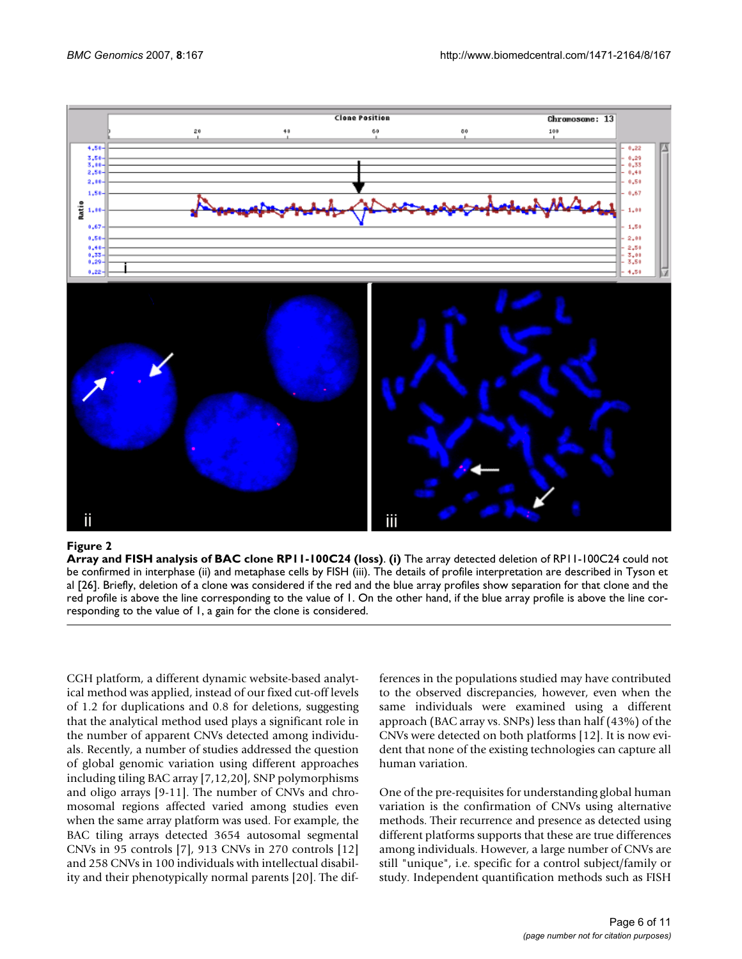

#### Figure 2

**Array and FISH analysis of BAC clone RP11-100C24 (loss)**. **(i)** The array detected deletion of RP11-100C24 could not be confirmed in interphase (ii) and metaphase cells by FISH (iii). The details of profile interpretation are described in Tyson et al [26]. Briefly, deletion of a clone was considered if the red and the blue array profiles show separation for that clone and the red profile is above the line corresponding to the value of 1. On the other hand, if the blue array profile is above the line corresponding to the value of 1, a gain for the clone is considered.

CGH platform, a different dynamic website-based analytical method was applied, instead of our fixed cut-off levels of 1.2 for duplications and 0.8 for deletions, suggesting that the analytical method used plays a significant role in the number of apparent CNVs detected among individuals. Recently, a number of studies addressed the question of global genomic variation using different approaches including tiling BAC array [7,12,20], SNP polymorphisms and oligo arrays [9-11]. The number of CNVs and chromosomal regions affected varied among studies even when the same array platform was used. For example, the BAC tiling arrays detected 3654 autosomal segmental CNVs in 95 controls [7], 913 CNVs in 270 controls [12] and 258 CNVs in 100 individuals with intellectual disability and their phenotypically normal parents [20]. The differences in the populations studied may have contributed to the observed discrepancies, however, even when the same individuals were examined using a different approach (BAC array vs. SNPs) less than half (43%) of the CNVs were detected on both platforms [12]. It is now evident that none of the existing technologies can capture all human variation.

One of the pre-requisites for understanding global human variation is the confirmation of CNVs using alternative methods. Their recurrence and presence as detected using different platforms supports that these are true differences among individuals. However, a large number of CNVs are still "unique", i.e. specific for a control subject/family or study. Independent quantification methods such as FISH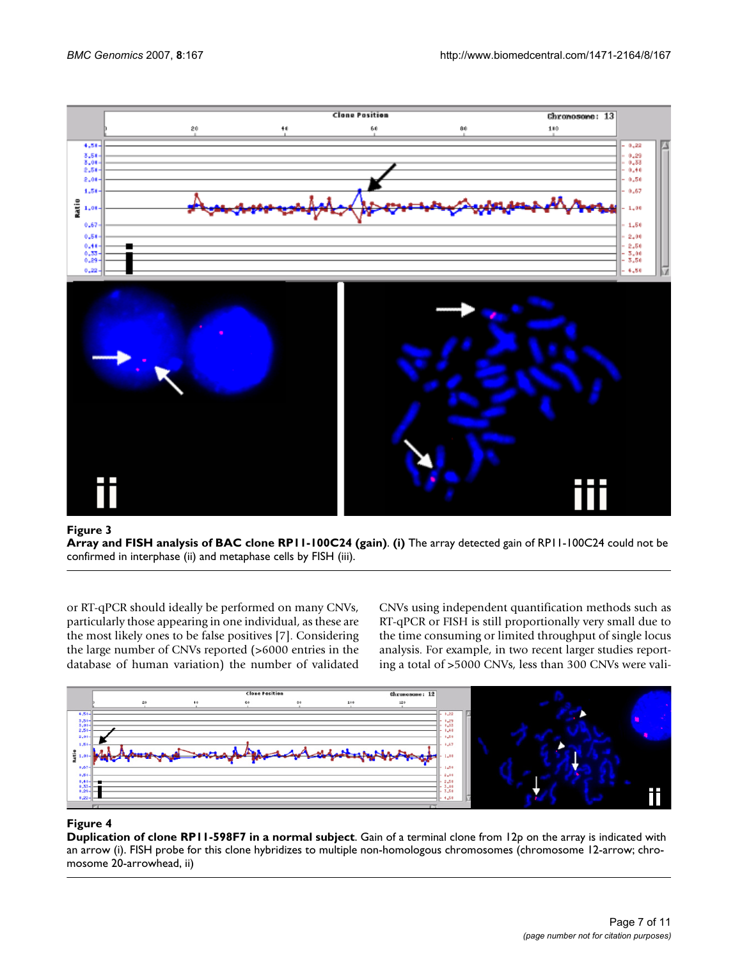

### **Figure 3**

**Array and FISH analysis of BAC clone RP11-100C24 (gain)**. **(i)** The array detected gain of RP11-100C24 could not be confirmed in interphase (ii) and metaphase cells by FISH (iii).

or RT-qPCR should ideally be performed on many CNVs, particularly those appearing in one individual, as these are the most likely ones to be false positives [7]. Considering the large number of CNVs reported (>6000 entries in the database of human variation) the number of validated CNVs using independent quantification methods such as RT-qPCR or FISH is still proportionally very small due to the time consuming or limited throughput of single locus analysis. For example, in two recent larger studies reporting a total of >5000 CNVs, less than 300 CNVs were vali-



### **Figure 4**

**Duplication of clone RP11-598F7 in a normal subject**. Gain of a terminal clone from 12p on the array is indicated with an arrow (i). FISH probe for this clone hybridizes to multiple non-homologous chromosomes (chromosome 12-arrow; chromosome 20-arrowhead, ii)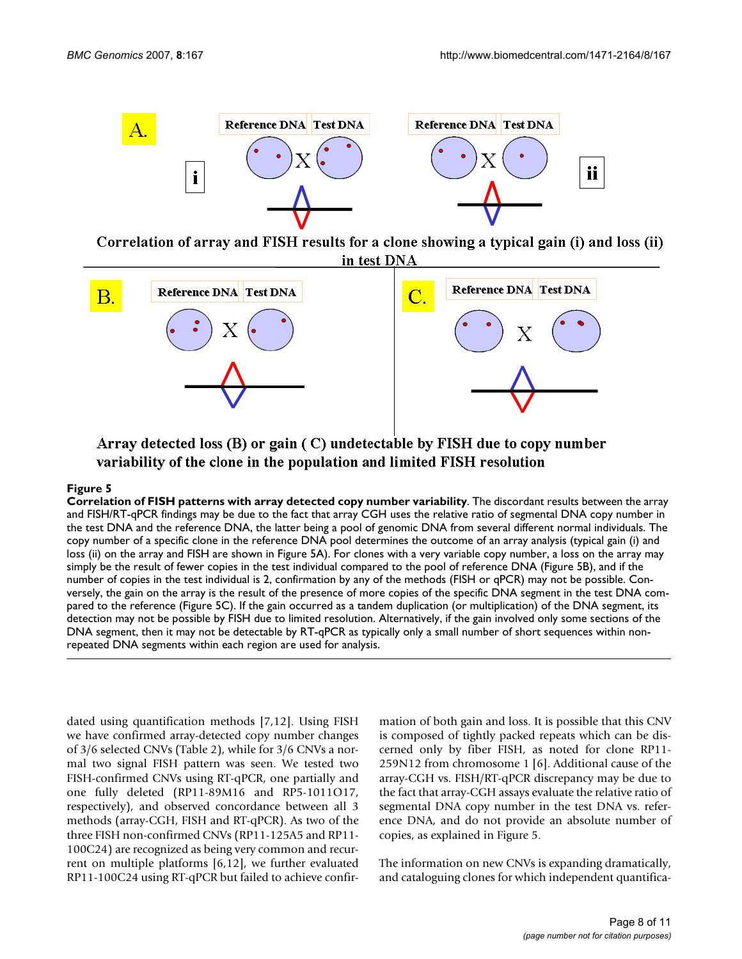

Correlation of array and FISH results for a clone showing a typical gain (i) and loss (ii) in test DNA



Array detected loss  $(B)$  or gain  $(C)$  undetectable by FISH due to copy number variability of the clone in the population and limited FISH resolution

## $\rho$  Figure 5 rns with a ratio  $\sigma$  rns with a ratio  $\sigma$  array detected copy number variability  $\rho$

**Correlation of FISH patterns with array detected copy number variability**. The discordant results between the array and FISH/RT-qPCR findings may be due to the fact that array CGH uses the relative ratio of segmental DNA copy number in the test DNA and the reference DNA, the latter being a pool of genomic DNA from several different normal individuals. The copy number of a specific clone in the reference DNA pool determines the outcome of an array analysis (typical gain (i) and loss (ii) on the array and FISH are shown in Figure 5A). For clones with a very variable copy number, a loss on the array may simply be the result of fewer copies in the test individual compared to the pool of reference DNA (Figure 5B), and if the number of copies in the test individual is 2, confirmation by any of the methods (FISH or qPCR) may not be possible. Conversely, the gain on the array is the result of the presence of more copies of the specific DNA segment in the test DNA compared to the reference (Figure 5C). If the gain occurred as a tandem duplication (or multiplication) of the DNA segment, its detection may not be possible by FISH due to limited resolution. Alternatively, if the gain involved only some sections of the DNA segment, then it may not be detectable by RT-qPCR as typically only a small number of short sequences within nonrepeated DNA segments within each region are used for analysis.

dated using quantification methods [7,12]. Using FISH we have confirmed array-detected copy number changes of 3/6 selected CNVs (Table 2), while for 3/6 CNVs a normal two signal FISH pattern was seen. We tested two FISH-confirmed CNVs using RT-qPCR, one partially and one fully deleted (RP11-89M16 and RP5-1011O17, respectively), and observed concordance between all 3 methods (array-CGH, FISH and RT-qPCR). As two of the three FISH non-confirmed CNVs (RP11-125A5 and RP11- 100C24) are recognized as being very common and recurrent on multiple platforms [6,12], we further evaluated RP11-100C24 using RT-qPCR but failed to achieve confirmation of both gain and loss. It is possible that this CNV is composed of tightly packed repeats which can be discerned only by fiber FISH, as noted for clone RP11- 259N12 from chromosome 1 [6]. Additional cause of the array-CGH vs. FISH/RT-qPCR discrepancy may be due to the fact that array-CGH assays evaluate the relative ratio of segmental DNA copy number in the test DNA vs. reference DNA, and do not provide an absolute number of copies, as explained in Figure 5.

The information on new CNVs is expanding dramatically, and cataloguing clones for which independent quantifica-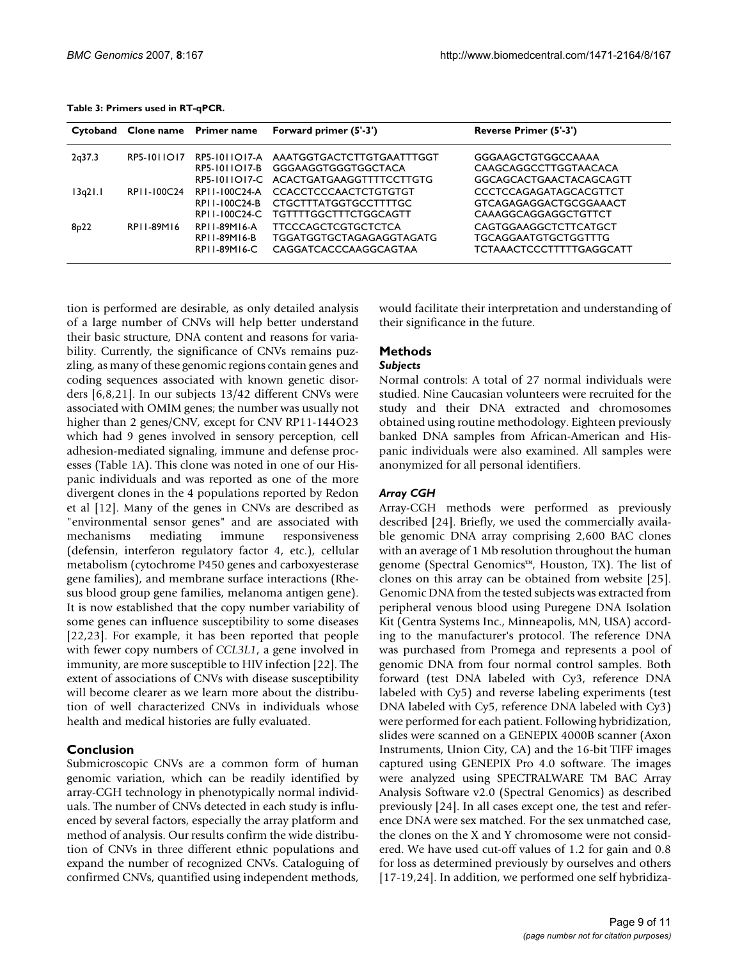| Table 3: Primers used in RT-qPCR. |  |  |
|-----------------------------------|--|--|
|-----------------------------------|--|--|

|         |                    |                                                    | Cytoband Clone name Primer name Forward primer (5'-3')                                                                 | Reverse Primer (5'-3')                                                                  |
|---------|--------------------|----------------------------------------------------|------------------------------------------------------------------------------------------------------------------------|-----------------------------------------------------------------------------------------|
| 2q37.3  | <b>RP5-1011017</b> |                                                    | RP5-1011017-A AAATGGTGACTCTTGTGAATTTGGT<br>RP5-1011O17-B GGGAAGGTGGGTGGCTACA<br>RP5-1011O17-C ACACTGATGAAGGTTTTCCTTGTG | GGGAAGCTGTGGCCAAAA<br>CAAGCAGGCCTTGGTAACACA<br>GGCAGCACTGAACTACAGCAGTT                  |
| 13q21.1 | RPI 1-100C24       | RPI I-100C24-A<br>RPI I-100C24-B<br>RPI I-100C24-C | <b>CCACCTCCCAACTCTGTGTGT</b><br>CTGCTTTATGGTGCCTTTTGC<br>TGTTTTGGCTTTCTGGCAGTT                                         | <b>CCCTCCAGAGATAGCACGTTCT</b><br>GTCAGAGAGGACTGCGGAAACT<br>CAAAGGCAGGAGGCTGTTCT         |
| 8p22    | RP11-89M16         | RPI I-89M16-A<br>RP11-89M16-B<br>RPI I-89M16-C     | <b>TTCCCAGCTCGTGCTCTCA</b><br>TGGATGGTGCTAGAGAGGTAGATG<br>CAGGATCACCCAAGGCAGTAA                                        | CAGTGGAAGGCTCTTCATGCT<br><b>TGCAGGAATGTGCTGGTTTG</b><br><b>TCTAAACTCCCTTTTTGAGGCATT</b> |

tion is performed are desirable, as only detailed analysis of a large number of CNVs will help better understand their basic structure, DNA content and reasons for variability. Currently, the significance of CNVs remains puzzling, as many of these genomic regions contain genes and coding sequences associated with known genetic disorders [6,8,21]. In our subjects 13/42 different CNVs were associated with OMIM genes; the number was usually not higher than 2 genes/CNV, except for CNV RP11-144O23 which had 9 genes involved in sensory perception, cell adhesion-mediated signaling, immune and defense processes (Table 1A). This clone was noted in one of our Hispanic individuals and was reported as one of the more divergent clones in the 4 populations reported by Redon et al [12]. Many of the genes in CNVs are described as "environmental sensor genes" and are associated with mechanisms mediating immune responsiveness (defensin, interferon regulatory factor 4, etc.), cellular metabolism (cytochrome P450 genes and carboxyesterase gene families), and membrane surface interactions (Rhesus blood group gene families, melanoma antigen gene). It is now established that the copy number variability of some genes can influence susceptibility to some diseases [22,23]. For example, it has been reported that people with fewer copy numbers of *CCL3L1*, a gene involved in immunity, are more susceptible to HIV infection [22]. The extent of associations of CNVs with disease susceptibility will become clearer as we learn more about the distribution of well characterized CNVs in individuals whose health and medical histories are fully evaluated.

## **Conclusion**

Submicroscopic CNVs are a common form of human genomic variation, which can be readily identified by array-CGH technology in phenotypically normal individuals. The number of CNVs detected in each study is influenced by several factors, especially the array platform and method of analysis. Our results confirm the wide distribution of CNVs in three different ethnic populations and expand the number of recognized CNVs. Cataloguing of confirmed CNVs, quantified using independent methods,

would facilitate their interpretation and understanding of their significance in the future.

## **Methods**

#### *Subjects*

Normal controls: A total of 27 normal individuals were studied. Nine Caucasian volunteers were recruited for the study and their DNA extracted and chromosomes obtained using routine methodology. Eighteen previously banked DNA samples from African-American and Hispanic individuals were also examined. All samples were anonymized for all personal identifiers.

### *Array CGH*

Array-CGH methods were performed as previously described [24]. Briefly, we used the commercially available genomic DNA array comprising 2,600 BAC clones with an average of 1 Mb resolution throughout the human genome (Spectral Genomics™, Houston, TX). The list of clones on this array can be obtained from website [25]. Genomic DNA from the tested subjects was extracted from peripheral venous blood using Puregene DNA Isolation Kit (Gentra Systems Inc., Minneapolis, MN, USA) according to the manufacturer's protocol. The reference DNA was purchased from Promega and represents a pool of genomic DNA from four normal control samples. Both forward (test DNA labeled with Cy3, reference DNA labeled with Cy5) and reverse labeling experiments (test DNA labeled with Cy5, reference DNA labeled with Cy3) were performed for each patient. Following hybridization, slides were scanned on a GENEPIX 4000B scanner (Axon Instruments, Union City, CA) and the 16-bit TIFF images captured using GENEPIX Pro 4.0 software. The images were analyzed using SPECTRALWARE TM BAC Array Analysis Software v2.0 (Spectral Genomics) as described previously [24]. In all cases except one, the test and reference DNA were sex matched. For the sex unmatched case, the clones on the X and Y chromosome were not considered. We have used cut-off values of 1.2 for gain and 0.8 for loss as determined previously by ourselves and others [17-19,24]. In addition, we performed one self hybridiza-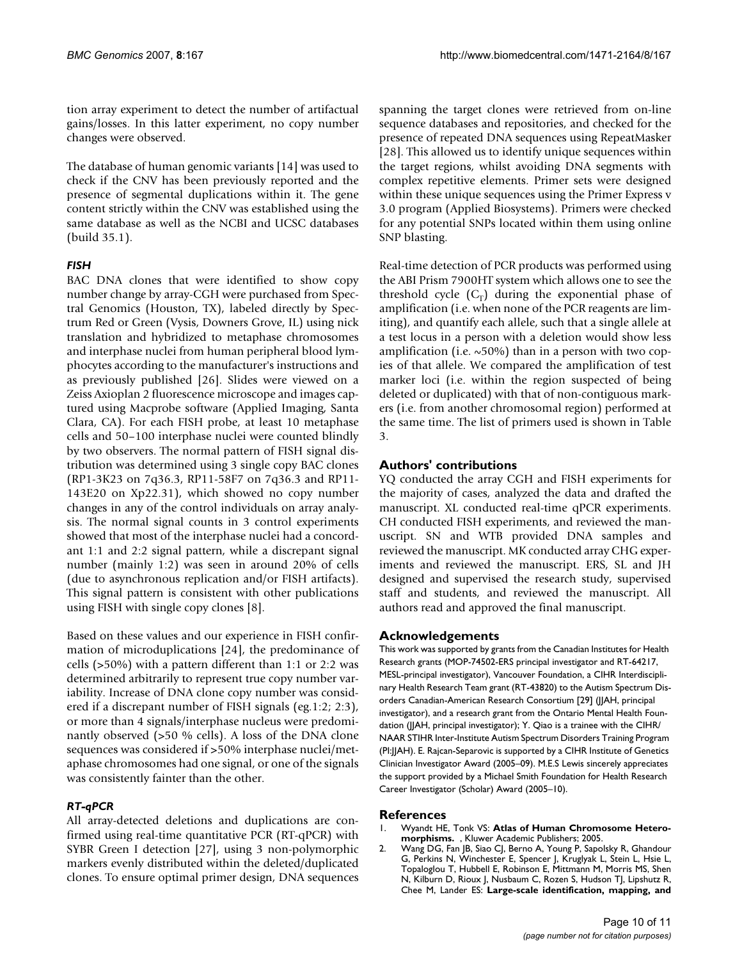tion array experiment to detect the number of artifactual gains/losses. In this latter experiment, no copy number changes were observed.

The database of human genomic variants [14] was used to check if the CNV has been previously reported and the presence of segmental duplications within it. The gene content strictly within the CNV was established using the same database as well as the NCBI and UCSC databases (build 35.1).

## *FISH*

BAC DNA clones that were identified to show copy number change by array-CGH were purchased from Spectral Genomics (Houston, TX), labeled directly by Spectrum Red or Green (Vysis, Downers Grove, IL) using nick translation and hybridized to metaphase chromosomes and interphase nuclei from human peripheral blood lymphocytes according to the manufacturer's instructions and as previously published [26]. Slides were viewed on a Zeiss Axioplan 2 fluorescence microscope and images captured using Macprobe software (Applied Imaging, Santa Clara, CA). For each FISH probe, at least 10 metaphase cells and 50–100 interphase nuclei were counted blindly by two observers. The normal pattern of FISH signal distribution was determined using 3 single copy BAC clones (RP1-3K23 on 7q36.3, RP11-58F7 on 7q36.3 and RP11- 143E20 on Xp22.31), which showed no copy number changes in any of the control individuals on array analysis. The normal signal counts in 3 control experiments showed that most of the interphase nuclei had a concordant 1:1 and 2:2 signal pattern, while a discrepant signal number (mainly 1:2) was seen in around 20% of cells (due to asynchronous replication and/or FISH artifacts). This signal pattern is consistent with other publications using FISH with single copy clones [8].

Based on these values and our experience in FISH confirmation of microduplications [24], the predominance of cells (>50%) with a pattern different than 1:1 or 2:2 was determined arbitrarily to represent true copy number variability. Increase of DNA clone copy number was considered if a discrepant number of FISH signals (eg.1:2; 2:3), or more than 4 signals/interphase nucleus were predominantly observed (>50 % cells). A loss of the DNA clone sequences was considered if >50% interphase nuclei/metaphase chromosomes had one signal, or one of the signals was consistently fainter than the other.

## *RT-qPCR*

All array-detected deletions and duplications are confirmed using real-time quantitative PCR (RT-qPCR) with SYBR Green I detection [27], using 3 non-polymorphic markers evenly distributed within the deleted/duplicated clones. To ensure optimal primer design, DNA sequences spanning the target clones were retrieved from on-line sequence databases and repositories, and checked for the presence of repeated DNA sequences using RepeatMasker [28]. This allowed us to identify unique sequences within the target regions, whilst avoiding DNA segments with complex repetitive elements. Primer sets were designed within these unique sequences using the Primer Express v 3.0 program (Applied Biosystems). Primers were checked for any potential SNPs located within them using online SNP blasting.

Real-time detection of PCR products was performed using the ABI Prism 7900HT system which allows one to see the threshold cycle  $(C_T)$  during the exponential phase of amplification (i.e. when none of the PCR reagents are limiting), and quantify each allele, such that a single allele at a test locus in a person with a deletion would show less amplification (i.e.  $\sim$  50%) than in a person with two copies of that allele. We compared the amplification of test marker loci (i.e. within the region suspected of being deleted or duplicated) with that of non-contiguous markers (i.e. from another chromosomal region) performed at the same time. The list of primers used is shown in Table 3.

## **Authors' contributions**

YQ conducted the array CGH and FISH experiments for the majority of cases, analyzed the data and drafted the manuscript. XL conducted real-time qPCR experiments. CH conducted FISH experiments, and reviewed the manuscript. SN and WTB provided DNA samples and reviewed the manuscript. MK conducted array CHG experiments and reviewed the manuscript. ERS, SL and JH designed and supervised the research study, supervised staff and students, and reviewed the manuscript. All authors read and approved the final manuscript.

### **Acknowledgements**

This work was supported by grants from the Canadian Institutes for Health Research grants (MOP-74502-ERS principal investigator and RT-64217, MESL-principal investigator), Vancouver Foundation, a CIHR Interdisciplinary Health Research Team grant (RT-43820) to the Autism Spectrum Disorders Canadian-American Research Consortium [29] (JJAH, principal investigator), and a research grant from the Ontario Mental Health Foundation (JJAH, principal investigator); Y. Qiao is a trainee with the CIHR/ NAAR STIHR Inter-Institute Autism Spectrum Disorders Training Program (PI:JJAH). E. Rajcan-Separovic is supported by a CIHR Institute of Genetics Clinician Investigator Award (2005–09). M.E.S Lewis sincerely appreciates the support provided by a Michael Smith Foundation for Health Research Career Investigator (Scholar) Award (2005–10).

#### **References**

- 1. Wyandt HE, Tonk VS: **Atlas of Human Chromosome Heteromorphisms.** , Kluwer Academic Publishers; 2005.
- 2. Wang DG, Fan JB, Siao CJ, Berno A, Young P, Sapolsky R, Ghandour G, Perkins N, Winchester E, Spencer J, Kruglyak L, Stein L, Hsie L, Topaloglou T, Hubbell E, Robinson E, Mittmann M, Morris MS, Shen N, Kilburn D, Rioux J, Nusbaum C, Rozen S, Hudson TJ, Lipshutz R, Chee M, Lander ES: **[Large-scale identification, mapping, and](http://www.ncbi.nlm.nih.gov/entrez/query.fcgi?cmd=Retrieve&db=PubMed&dopt=Abstract&list_uids=9582121)**